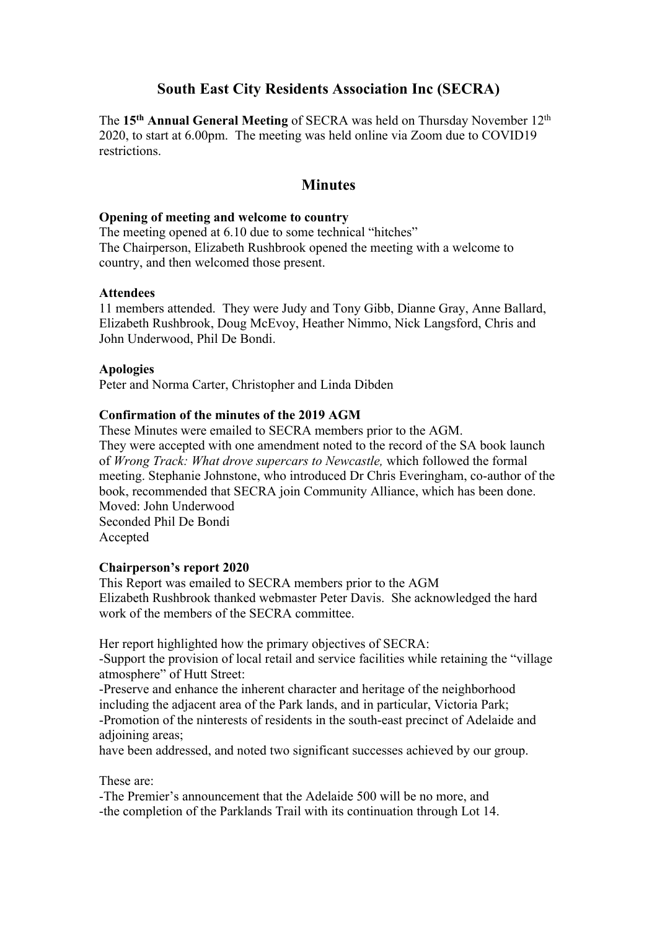# **South East City Residents Association Inc (SECRA)**

The **15th Annual General Meeting** of SECRA was held on Thursday November 12th 2020, to start at 6.00pm. The meeting was held online via Zoom due to COVID19 restrictions.

# **Minutes**

### **Opening of meeting and welcome to country**

The meeting opened at 6.10 due to some technical "hitches" The Chairperson, Elizabeth Rushbrook opened the meeting with a welcome to country, and then welcomed those present.

### **Attendees**

11 members attended. They were Judy and Tony Gibb, Dianne Gray, Anne Ballard, Elizabeth Rushbrook, Doug McEvoy, Heather Nimmo, Nick Langsford, Chris and John Underwood, Phil De Bondi.

# **Apologies**

Peter and Norma Carter, Christopher and Linda Dibden

# **Confirmation of the minutes of the 2019 AGM**

These Minutes were emailed to SECRA members prior to the AGM. They were accepted with one amendment noted to the record of the SA book launch of *Wrong Track: What drove supercars to Newcastle,* which followed the formal meeting. Stephanie Johnstone, who introduced Dr Chris Everingham, co-author of the book, recommended that SECRA join Community Alliance, which has been done. Moved: John Underwood Seconded Phil De Bondi Accepted

### **Chairperson's report 2020**

This Report was emailed to SECRA members prior to the AGM Elizabeth Rushbrook thanked webmaster Peter Davis. She acknowledged the hard work of the members of the SECRA committee.

Her report highlighted how the primary objectives of SECRA: -Support the provision of local retail and service facilities while retaining the "village atmosphere" of Hutt Street:

-Preserve and enhance the inherent character and heritage of the neighborhood including the adjacent area of the Park lands, and in particular, Victoria Park; -Promotion of the ninterests of residents in the south-east precinct of Adelaide and adioining areas:

have been addressed, and noted two significant successes achieved by our group.

These are:

-The Premier's announcement that the Adelaide 500 will be no more, and -the completion of the Parklands Trail with its continuation through Lot 14.